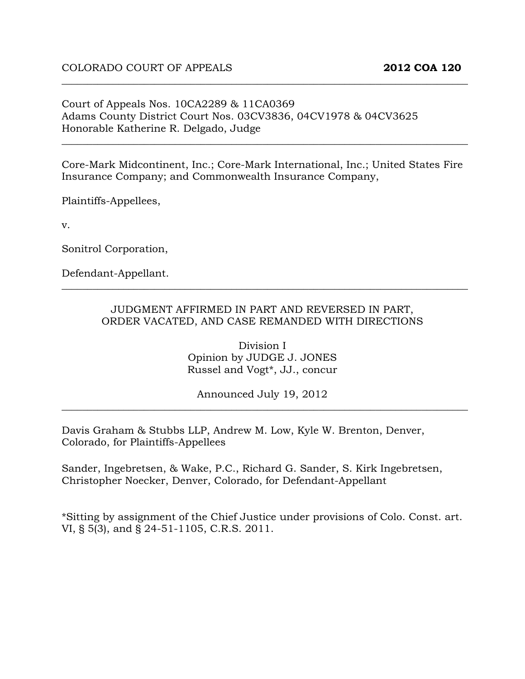Court of Appeals Nos. 10CA2289 & 11CA0369 Adams County District Court Nos. 03CV3836, 04CV1978 & 04CV3625 Honorable Katherine R. Delgado, Judge

Core-Mark Midcontinent, Inc.; Core-Mark International, Inc.; United States Fire Insurance Company; and Commonwealth Insurance Company,

\_\_\_\_\_\_\_\_\_\_\_\_\_\_\_\_\_\_\_\_\_\_\_\_\_\_\_\_\_\_\_\_\_\_\_\_\_\_\_\_\_\_\_\_\_\_\_\_\_\_\_\_\_\_\_\_\_\_\_\_\_\_\_\_\_\_\_\_\_\_\_\_\_\_\_\_\_\_\_

\_\_\_\_\_\_\_\_\_\_\_\_\_\_\_\_\_\_\_\_\_\_\_\_\_\_\_\_\_\_\_\_\_\_\_\_\_\_\_\_\_\_\_\_\_\_\_\_\_\_\_\_\_\_\_\_\_\_\_\_\_\_\_\_\_\_\_\_\_\_\_\_\_\_\_\_\_\_\_

Plaintiffs-Appellees,

v.

Sonitrol Corporation,

Defendant-Appellant.

#### JUDGMENT AFFIRMED IN PART AND REVERSED IN PART, ORDER VACATED, AND CASE REMANDED WITH DIRECTIONS

\_\_\_\_\_\_\_\_\_\_\_\_\_\_\_\_\_\_\_\_\_\_\_\_\_\_\_\_\_\_\_\_\_\_\_\_\_\_\_\_\_\_\_\_\_\_\_\_\_\_\_\_\_\_\_\_\_\_\_\_\_\_\_\_\_\_\_\_\_\_\_\_\_\_\_\_\_\_\_

Division I Opinion by JUDGE J. JONES Russel and Vogt\*, JJ., concur

Announced July 19, 2012 \_\_\_\_\_\_\_\_\_\_\_\_\_\_\_\_\_\_\_\_\_\_\_\_\_\_\_\_\_\_\_\_\_\_\_\_\_\_\_\_\_\_\_\_\_\_\_\_\_\_\_\_\_\_\_\_\_\_\_\_\_\_\_\_\_\_\_\_\_\_\_\_\_\_\_\_\_\_\_

Davis Graham & Stubbs LLP, Andrew M. Low, Kyle W. Brenton, Denver, Colorado, for Plaintiffs-Appellees

Sander, Ingebretsen, & Wake, P.C., Richard G. Sander, S. Kirk Ingebretsen, Christopher Noecker, Denver, Colorado, for Defendant-Appellant

\*Sitting by assignment of the Chief Justice under provisions of Colo. Const. art. VI, § 5(3), and § 24-51-1105, C.R.S. 2011.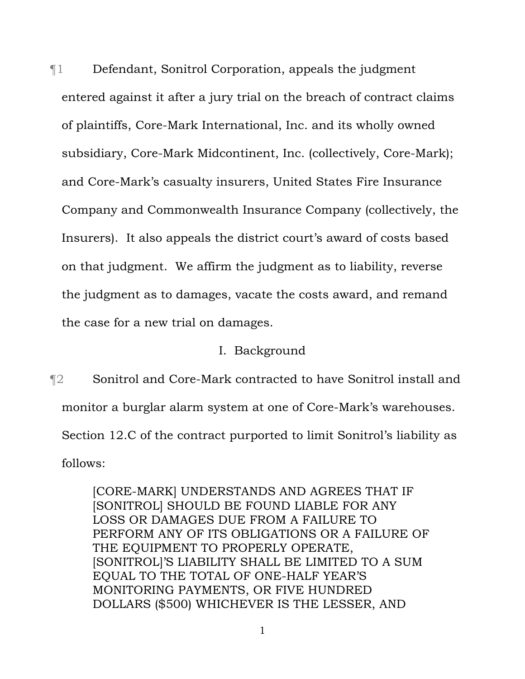¶1 Defendant, Sonitrol Corporation, appeals the judgment entered against it after a jury trial on the breach of contract claims of plaintiffs, Core-Mark International, Inc. and its wholly owned subsidiary, Core-Mark Midcontinent, Inc. (collectively, Core-Mark); and Core-Mark's casualty insurers, United States Fire Insurance Company and Commonwealth Insurance Company (collectively, the Insurers). It also appeals the district court's award of costs based on that judgment. We affirm the judgment as to liability, reverse the judgment as to damages, vacate the costs award, and remand the case for a new trial on damages.

## I. Background

¶2 Sonitrol and Core-Mark contracted to have Sonitrol install and monitor a burglar alarm system at one of Core-Mark's warehouses. Section 12.C of the contract purported to limit Sonitrol's liability as follows:

> [CORE-MARK] UNDERSTANDS AND AGREES THAT IF [SONITROL] SHOULD BE FOUND LIABLE FOR ANY LOSS OR DAMAGES DUE FROM A FAILURE TO PERFORM ANY OF ITS OBLIGATIONS OR A FAILURE OF THE EQUIPMENT TO PROPERLY OPERATE, [SONITROL]'S LIABILITY SHALL BE LIMITED TO A SUM EQUAL TO THE TOTAL OF ONE-HALF YEAR'S MONITORING PAYMENTS, OR FIVE HUNDRED DOLLARS (\$500) WHICHEVER IS THE LESSER, AND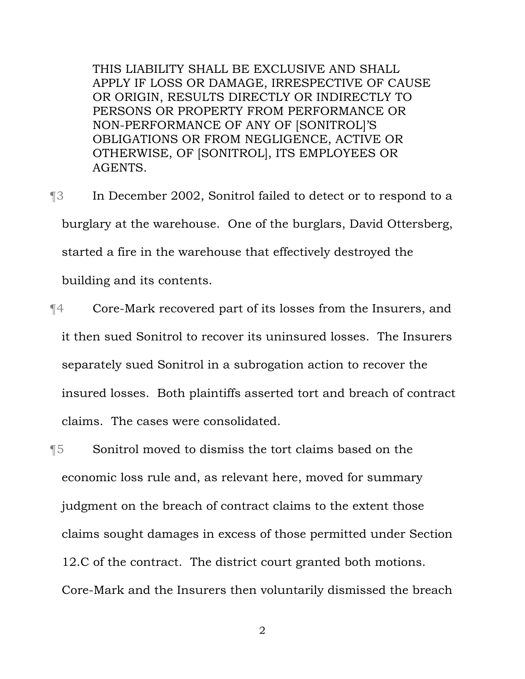THIS LIABILITY SHALL BE EXCLUSIVE AND SHALL APPLY IF LOSS OR DAMAGE, IRRESPECTIVE OF CAUSE OR ORIGIN, RESULTS DIRECTLY OR INDIRECTLY TO PERSONS OR PROPERTY FROM PERFORMANCE OR NON-PERFORMANCE OF ANY OF [SONITROL]'S OBLIGATIONS OR FROM NEGLIGENCE, ACTIVE OR OTHERWISE, OF [SONITROL], ITS EMPLOYEES OR AGENTS.

- ¶3 In December 2002, Sonitrol failed to detect or to respond to a burglary at the warehouse. One of the burglars, David Ottersberg, started a fire in the warehouse that effectively destroyed the building and its contents.
- ¶4 Core-Mark recovered part of its losses from the Insurers, and it then sued Sonitrol to recover its uninsured losses. The Insurers separately sued Sonitrol in a subrogation action to recover the insured losses. Both plaintiffs asserted tort and breach of contract claims. The cases were consolidated.
- ¶5 Sonitrol moved to dismiss the tort claims based on the economic loss rule and, as relevant here, moved for summary judgment on the breach of contract claims to the extent those claims sought damages in excess of those permitted under Section 12.C of the contract. The district court granted both motions. Core-Mark and the Insurers then voluntarily dismissed the breach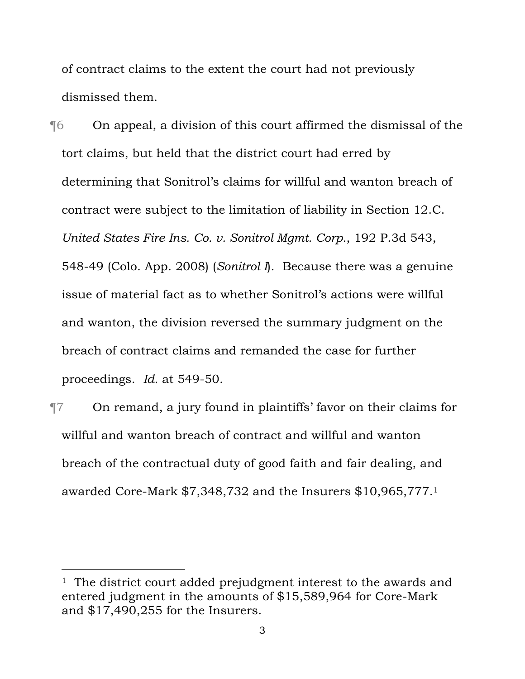of contract claims to the extent the court had not previously dismissed them.

¶6 On appeal, a division of this court affirmed the dismissal of the tort claims, but held that the district court had erred by determining that Sonitrol's claims for willful and wanton breach of contract were subject to the limitation of liability in Section 12.C. *United States Fire Ins. Co. v. Sonitrol Mgmt. Corp.*, 192 P.3d 543, 548-49 (Colo. App. 2008) (*Sonitrol I*). Because there was a genuine issue of material fact as to whether Sonitrol's actions were willful and wanton, the division reversed the summary judgment on the breach of contract claims and remanded the case for further proceedings. *Id.* at 549-50.

¶7 On remand, a jury found in plaintiffs' favor on their claims for willful and wanton breach of contract and willful and wanton breach of the contractual duty of good faith and fair dealing, and awarded Core-Mark \$7,348,732 and the Insurers \$10,965,777.1

<sup>&</sup>lt;sup>1</sup> The district court added prejudgment interest to the awards and entered judgment in the amounts of \$15,589,964 for Core-Mark and \$17,490,255 for the Insurers.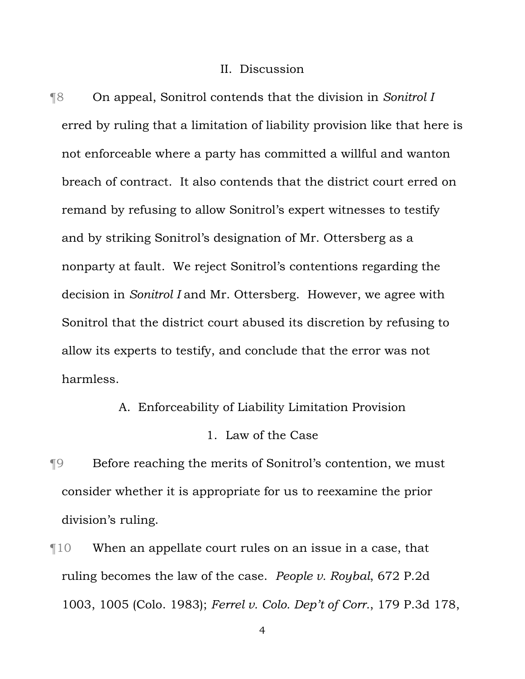#### II. Discussion

¶8 On appeal, Sonitrol contends that the division in *Sonitrol I* erred by ruling that a limitation of liability provision like that here is not enforceable where a party has committed a willful and wanton breach of contract. It also contends that the district court erred on remand by refusing to allow Sonitrol's expert witnesses to testify and by striking Sonitrol's designation of Mr. Ottersberg as a nonparty at fault. We reject Sonitrol's contentions regarding the decision in *Sonitrol I* and Mr. Ottersberg. However, we agree with Sonitrol that the district court abused its discretion by refusing to allow its experts to testify, and conclude that the error was not harmless.

## A. Enforceability of Liability Limitation Provision

#### 1. Law of the Case

- ¶9 Before reaching the merits of Sonitrol's contention, we must consider whether it is appropriate for us to reexamine the prior division's ruling.
- ¶10 When an appellate court rules on an issue in a case, that ruling becomes the law of the case. *People v. Roybal*, 672 P.2d 1003, 1005 (Colo. 1983); *Ferrel v. Colo. Dep't of Corr.*, 179 P.3d 178,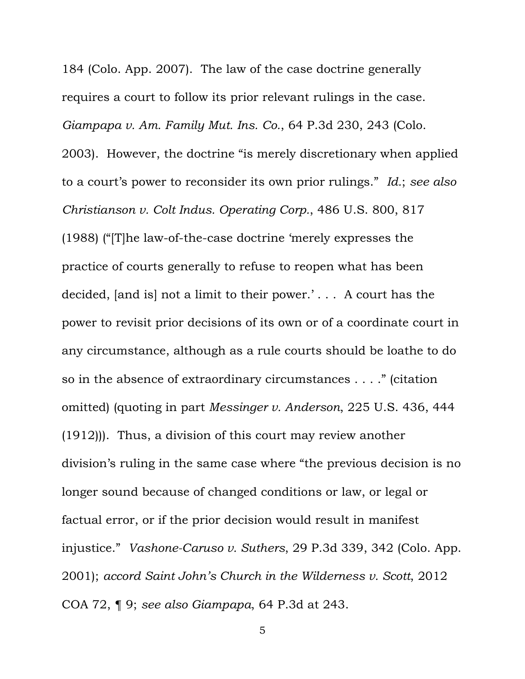184 (Colo. App. 2007). The law of the case doctrine generally requires a court to follow its prior relevant rulings in the case. *Giampapa v. Am. Family Mut. Ins. Co.*, 64 P.3d 230, 243 (Colo. 2003). However, the doctrine "is merely discretionary when applied to a court's power to reconsider its own prior rulings."*Id.*; *see also Christianson v. Colt Indus. Operating Corp.*, 486 U.S. 800, 817 (1988) ("[T]he law-of-the-case doctrine 'merely expresses the practice of courts generally to refuse to reopen what has been decided, [and is] not a limit to their power.' . . . A court has the power to revisit prior decisions of its own or of a coordinate court in any circumstance, although as a rule courts should be loathe to do so in the absence of extraordinary circumstances . . . ." (citation omitted) (quoting in part *Messinger v. Anderson*, 225 U.S. 436, 444 (1912))). Thus, a division of this court may review another division's ruling in the same case where "the previous decision is no longer sound because of changed conditions or law, or legal or factual error, or if the prior decision would result in manifest injustice." *Vashone-Caruso v. Suthers*, 29 P.3d 339, 342 (Colo. App. 2001); *accord Saint John's Church in the Wilderness v. Scott*, 2012 COA 72, ¶ 9; *see also Giampapa*, 64 P.3d at 243.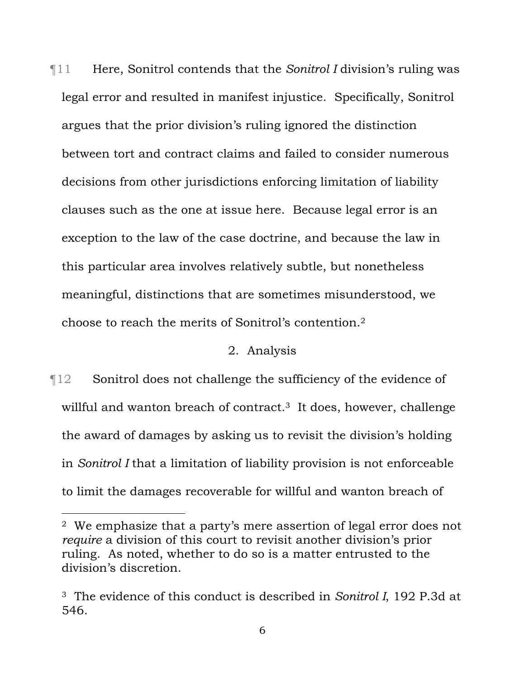¶11 Here, Sonitrol contends that the *Sonitrol I* division's ruling was legal error and resulted in manifest injustice. Specifically, Sonitrol argues that the prior division's ruling ignored the distinction between tort and contract claims and failed to consider numerous decisions from other jurisdictions enforcing limitation of liability clauses such as the one at issue here. Because legal error is an exception to the law of the case doctrine, and because the law in this particular area involves relatively subtle, but nonetheless meaningful, distinctions that are sometimes misunderstood, we choose to reach the merits of Sonitrol's contention.2

## 2. Analysis

¶12 Sonitrol does not challenge the sufficiency of the evidence of willful and wanton breach of contract.<sup>3</sup> It does, however, challenge the award of damages by asking us to revisit the division's holding in *Sonitrol I* that a limitation of liability provision is not enforceable to limit the damages recoverable for willful and wanton breach of

i

<sup>2</sup> We emphasize that a party's mere assertion of legal error does not *require* a division of this court to revisit another division's prior ruling. As noted, whether to do so is a matter entrusted to the division's discretion.

<sup>3</sup> The evidence of this conduct is described in *Sonitrol I*, 192 P.3d at 546.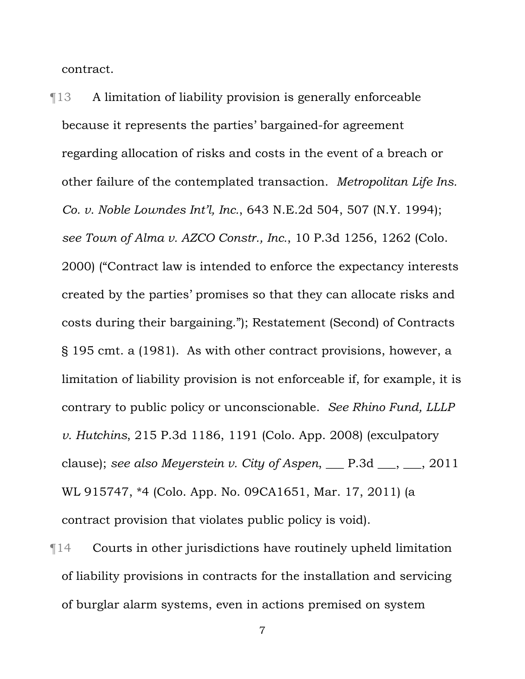contract.

¶13 A limitation of liability provision is generally enforceable because it represents the parties' bargained-for agreement regarding allocation of risks and costs in the event of a breach or other failure of the contemplated transaction. *Metropolitan Life Ins. Co. v. Noble Lowndes Int'l, Inc.*, 643 N.E.2d 504, 507 (N.Y. 1994); *see Town of Alma v. AZCO Constr., Inc.*, 10 P.3d 1256, 1262 (Colo. 2000) ("Contract law is intended to enforce the expectancy interests created by the parties' promises so that they can allocate risks and costs during their bargaining."); Restatement (Second) of Contracts § 195 cmt. a (1981). As with other contract provisions, however, a limitation of liability provision is not enforceable if, for example, it is contrary to public policy or unconscionable. *See Rhino Fund, LLLP v. Hutchins*, 215 P.3d 1186, 1191 (Colo. App. 2008) (exculpatory clause); *see also Meyerstein v. City of Aspen*, \_\_\_ P.3d \_\_\_, \_\_\_, 2011 WL 915747, \*4 (Colo. App. No. 09CA1651, Mar. 17, 2011) (a contract provision that violates public policy is void).

¶14 Courts in other jurisdictions have routinely upheld limitation of liability provisions in contracts for the installation and servicing of burglar alarm systems, even in actions premised on system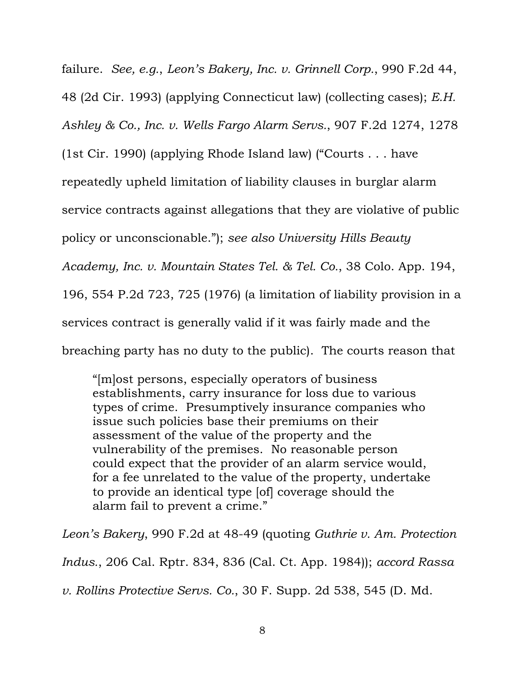failure. *See, e.g.*, *Leon's Bakery, Inc. v. Grinnell Corp.*, 990 F.2d 44, 48 (2d Cir. 1993) (applying Connecticut law) (collecting cases); *E.H. Ashley & Co., Inc. v. Wells Fargo Alarm Servs.*, 907 F.2d 1274, 1278 (1st Cir. 1990) (applying Rhode Island law) ("Courts . . . have repeatedly upheld limitation of liability clauses in burglar alarm service contracts against allegations that they are violative of public policy or unconscionable."); *see also University Hills Beauty Academy, Inc. v. Mountain States Tel. & Tel. Co.*, 38 Colo. App. 194, 196, 554 P.2d 723, 725 (1976) (a limitation of liability provision in a services contract is generally valid if it was fairly made and the breaching party has no duty to the public). The courts reason that

"[m]ost persons, especially operators of business establishments, carry insurance for loss due to various types of crime. Presumptively insurance companies who issue such policies base their premiums on their assessment of the value of the property and the vulnerability of the premises. No reasonable person could expect that the provider of an alarm service would, for a fee unrelated to the value of the property, undertake to provide an identical type [of] coverage should the alarm fail to prevent a crime."

*Leon's Bakery*, 990 F.2d at 48-49 (quoting *Guthrie v. Am. Protection Indus.*, 206 Cal. Rptr. 834, 836 (Cal. Ct. App. 1984)); *accord Rassa v. Rollins Protective Servs. Co.*, 30 F. Supp. 2d 538, 545 (D. Md.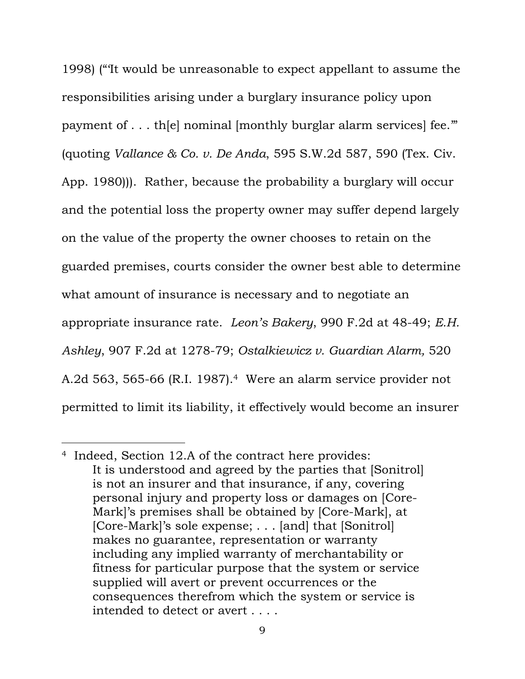1998) ("'It would be unreasonable to expect appellant to assume the responsibilities arising under a burglary insurance policy upon payment of . . . th[e] nominal [monthly burglar alarm services] fee.'" (quoting *Vallance & Co. v. De Anda*, 595 S.W.2d 587, 590 (Tex. Civ. App. 1980))). Rather, because the probability a burglary will occur and the potential loss the property owner may suffer depend largely on the value of the property the owner chooses to retain on the guarded premises, courts consider the owner best able to determine what amount of insurance is necessary and to negotiate an appropriate insurance rate. *Leon's Bakery*, 990 F.2d at 48-49; *E.H. Ashley*, 907 F.2d at 1278-79; *Ostalkiewicz v. Guardian Alarm,* 520 A.2d 563, 565-66 (R.I. 1987).4 Were an alarm service provider not permitted to limit its liability, it effectively would become an insurer

i

<sup>4</sup> Indeed, Section 12.A of the contract here provides: It is understood and agreed by the parties that [Sonitrol] is not an insurer and that insurance, if any, covering personal injury and property loss or damages on [Core-Mark]'s premises shall be obtained by [Core-Mark], at [Core-Mark]'s sole expense; . . . [and] that [Sonitrol] makes no guarantee, representation or warranty including any implied warranty of merchantability or fitness for particular purpose that the system or service supplied will avert or prevent occurrences or the consequences therefrom which the system or service is intended to detect or avert . . . .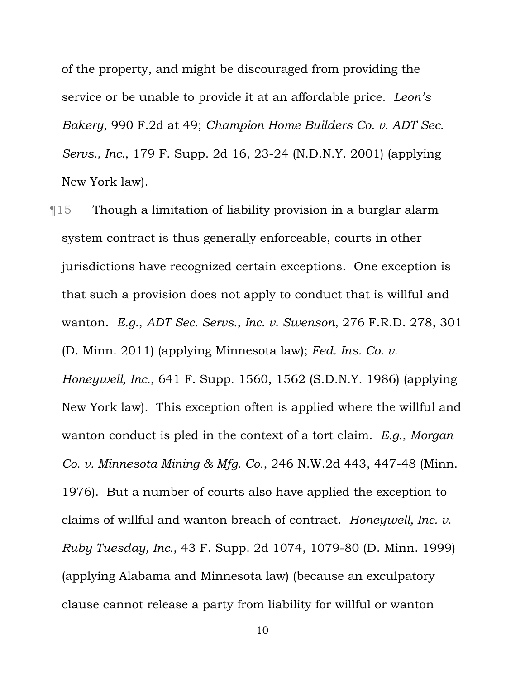of the property, and might be discouraged from providing the service or be unable to provide it at an affordable price. *Leon's Bakery*, 990 F.2d at 49; *Champion Home Builders Co. v. ADT Sec. Servs., Inc.*, 179 F. Supp. 2d 16, 23-24 (N.D.N.Y. 2001) (applying New York law).

¶15 Though a limitation of liability provision in a burglar alarm system contract is thus generally enforceable, courts in other jurisdictions have recognized certain exceptions. One exception is that such a provision does not apply to conduct that is willful and wanton. *E.g.*, *ADT Sec. Servs., Inc. v. Swenson*, 276 F.R.D. 278, 301 (D. Minn. 2011) (applying Minnesota law); *Fed. Ins. Co. v. Honeywell, Inc.*, 641 F. Supp. 1560, 1562 (S.D.N.Y. 1986) (applying New York law). This exception often is applied where the willful and wanton conduct is pled in the context of a tort claim. *E.g.*, *Morgan Co. v. Minnesota Mining & Mfg. Co.*, 246 N.W.2d 443, 447-48 (Minn. 1976). But a number of courts also have applied the exception to claims of willful and wanton breach of contract. *Honeywell, Inc. v. Ruby Tuesday, Inc.*, 43 F. Supp. 2d 1074, 1079-80 (D. Minn. 1999) (applying Alabama and Minnesota law) (because an exculpatory clause cannot release a party from liability for willful or wanton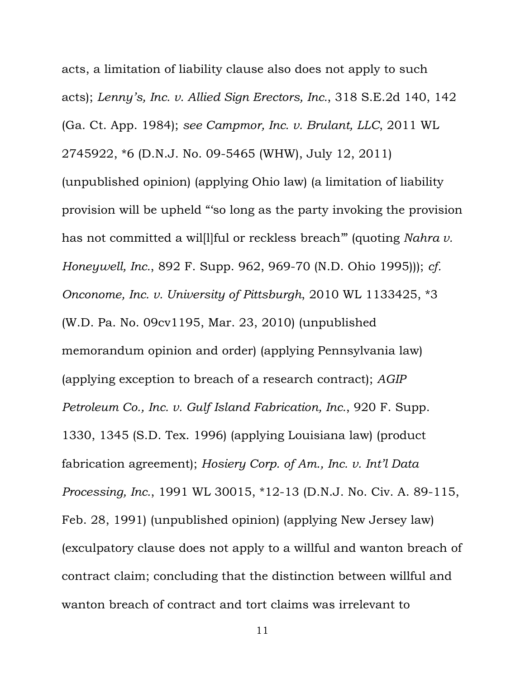acts, a limitation of liability clause also does not apply to such acts); *Lenny's, Inc. v. Allied Sign Erectors, Inc.*, 318 S.E.2d 140, 142 (Ga. Ct. App. 1984); *see Campmor, Inc. v. Brulant, LLC*, 2011 WL 2745922, \*6 (D.N.J. No. 09-5465 (WHW), July 12, 2011) (unpublished opinion) (applying Ohio law) (a limitation of liability provision will be upheld "'so long as the party invoking the provision has not committed a wil[l]ful or reckless breach'" (quoting *Nahra v. Honeywell, Inc.*, 892 F. Supp. 962, 969-70 (N.D. Ohio 1995))); *cf. Onconome, Inc. v. University of Pittsburgh*, 2010 WL 1133425, \*3 (W.D. Pa. No. 09cv1195, Mar. 23, 2010) (unpublished memorandum opinion and order) (applying Pennsylvania law) (applying exception to breach of a research contract); *AGIP Petroleum Co., Inc. v. Gulf Island Fabrication, Inc.*, 920 F. Supp. 1330, 1345 (S.D. Tex. 1996) (applying Louisiana law) (product fabrication agreement); *Hosiery Corp. of Am., Inc. v. Int'l Data Processing, Inc.*, 1991 WL 30015, \*12-13 (D.N.J. No. Civ. A. 89-115, Feb. 28, 1991) (unpublished opinion) (applying New Jersey law) (exculpatory clause does not apply to a willful and wanton breach of contract claim; concluding that the distinction between willful and wanton breach of contract and tort claims was irrelevant to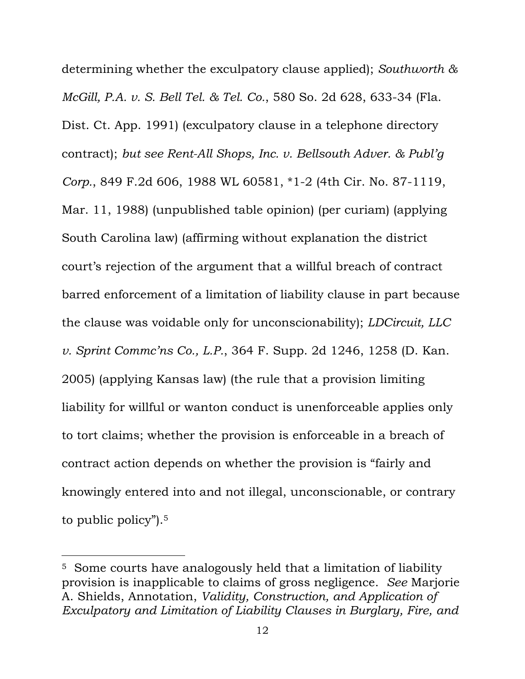determining whether the exculpatory clause applied); *Southworth & McGill, P.A. v. S. Bell Tel. & Tel. Co.*, 580 So. 2d 628, 633-34 (Fla. Dist. Ct. App. 1991) (exculpatory clause in a telephone directory contract); *but see Rent-All Shops, Inc. v. Bellsouth Adver. & Publ'g Corp.*, 849 F.2d 606, 1988 WL 60581, \*1-2 (4th Cir. No. 87-1119, Mar. 11, 1988) (unpublished table opinion) (per curiam) (applying South Carolina law) (affirming without explanation the district court's rejection of the argument that a willful breach of contract barred enforcement of a limitation of liability clause in part because the clause was voidable only for unconscionability); *LDCircuit, LLC v. Sprint Commc'ns Co., L.P.*, 364 F. Supp. 2d 1246, 1258 (D. Kan. 2005) (applying Kansas law) (the rule that a provision limiting liability for willful or wanton conduct is unenforceable applies only to tort claims; whether the provision is enforceable in a breach of contract action depends on whether the provision is "fairly and knowingly entered into and not illegal, unconscionable, or contrary to public policy").5

<sup>5</sup> Some courts have analogously held that a limitation of liability provision is inapplicable to claims of gross negligence. *See* Marjorie A. Shields, Annotation, *Validity, Construction, and Application of Exculpatory and Limitation of Liability Clauses in Burglary, Fire, and*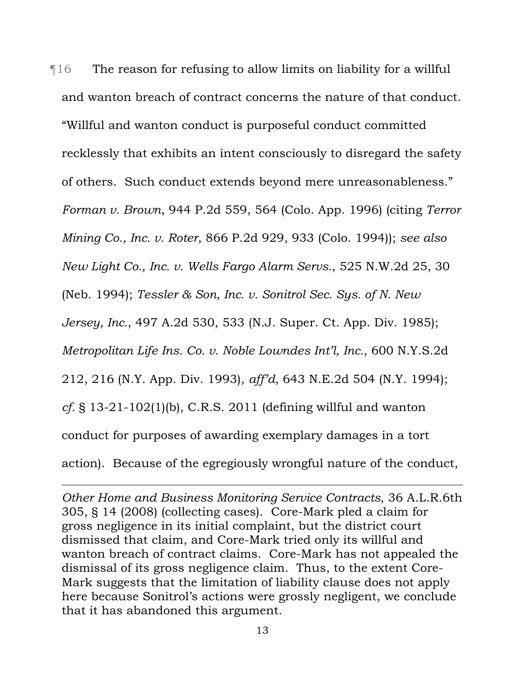¶16 The reason for refusing to allow limits on liability for a willful and wanton breach of contract concerns the nature of that conduct. "Willful and wanton conduct is purposeful conduct committed recklessly that exhibits an intent consciously to disregard the safety of others. Such conduct extends beyond mere unreasonableness." *Forman v. Brown*, 944 P.2d 559, 564 (Colo. App. 1996) (citing *Terror Mining Co., Inc. v. Roter*, 866 P.2d 929, 933 (Colo. 1994)); *see also New Light Co., Inc. v. Wells Fargo Alarm Servs.*, 525 N.W.2d 25, 30 (Neb. 1994); *Tessler & Son, Inc. v. Sonitrol Sec. Sys. of N. New Jersey, Inc.*, 497 A.2d 530, 533 (N.J. Super. Ct. App. Div. 1985); *Metropolitan Life Ins. Co. v. Noble Lowndes Int'l, Inc.*, 600 N.Y.S.2d 212, 216 (N.Y. App. Div. 1993), *aff'd*, 643 N.E.2d 504 (N.Y. 1994); *cf.* § 13-21-102(1)(b), C.R.S. 2011 (defining willful and wanton conduct for purposes of awarding exemplary damages in a tort action). Because of the egregiously wrongful nature of the conduct,

*Other Home and Business Monitoring Service Contracts*, 36 A.L.R.6th 305, § 14 (2008) (collecting cases). Core-Mark pled a claim for gross negligence in its initial complaint, but the district court dismissed that claim, and Core-Mark tried only its willful and wanton breach of contract claims. Core-Mark has not appealed the dismissal of its gross negligence claim. Thus, to the extent Core-Mark suggests that the limitation of liability clause does not apply here because Sonitrol's actions were grossly negligent, we conclude that it has abandoned this argument.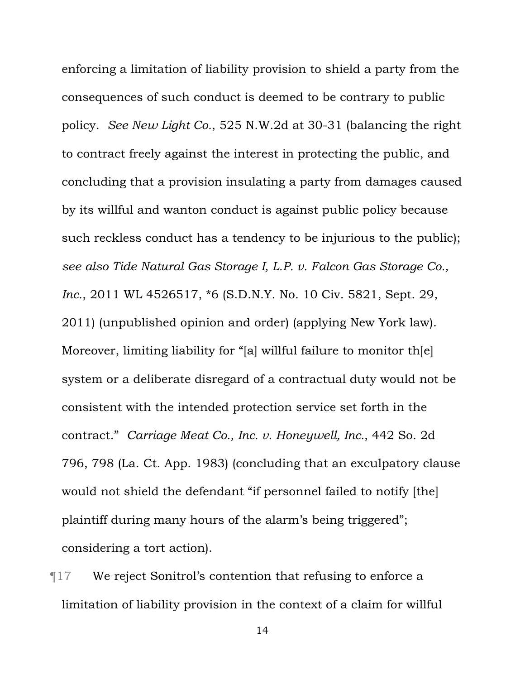enforcing a limitation of liability provision to shield a party from the consequences of such conduct is deemed to be contrary to public policy. *See New Light Co.*, 525 N.W.2d at 30-31 (balancing the right to contract freely against the interest in protecting the public, and concluding that a provision insulating a party from damages caused by its willful and wanton conduct is against public policy because such reckless conduct has a tendency to be injurious to the public); *see also Tide Natural Gas Storage I, L.P. v. Falcon Gas Storage Co., Inc.*, 2011 WL 4526517, \*6 (S.D.N.Y. No. 10 Civ. 5821, Sept. 29, 2011) (unpublished opinion and order) (applying New York law). Moreover, limiting liability for "[a] willful failure to monitor th[e] system or a deliberate disregard of a contractual duty would not be consistent with the intended protection service set forth in the contract." *Carriage Meat Co., Inc. v. Honeywell, Inc.*, 442 So. 2d 796, 798 (La. Ct. App. 1983) (concluding that an exculpatory clause would not shield the defendant "if personnel failed to notify [the] plaintiff during many hours of the alarm's being triggered"; considering a tort action).

¶17 We reject Sonitrol's contention that refusing to enforce a limitation of liability provision in the context of a claim for willful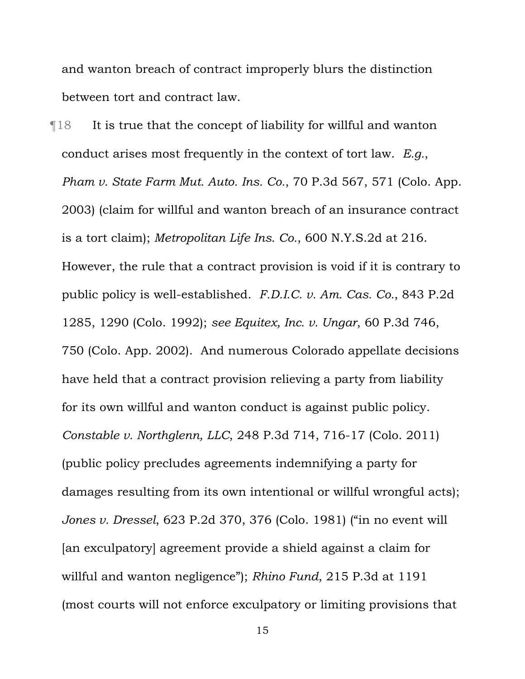and wanton breach of contract improperly blurs the distinction between tort and contract law.

 $\P$ 18 It is true that the concept of liability for willful and wanton conduct arises most frequently in the context of tort law. *E.g.*, *Pham v. State Farm Mut. Auto. Ins. Co.*, 70 P.3d 567, 571 (Colo. App. 2003) (claim for willful and wanton breach of an insurance contract is a tort claim); *Metropolitan Life Ins. Co.*, 600 N.Y.S.2d at 216. However, the rule that a contract provision is void if it is contrary to public policy is well-established. *F.D.I.C. v. Am. Cas. Co.*, 843 P.2d 1285, 1290 (Colo. 1992); *see Equitex, Inc. v. Ungar*, 60 P.3d 746, 750 (Colo. App. 2002). And numerous Colorado appellate decisions have held that a contract provision relieving a party from liability for its own willful and wanton conduct is against public policy. *Constable v. Northglenn, LLC*, 248 P.3d 714, 716-17 (Colo. 2011) (public policy precludes agreements indemnifying a party for damages resulting from its own intentional or willful wrongful acts); *Jones v. Dressel*, 623 P.2d 370, 376 (Colo. 1981) ("in no event will [an exculpatory] agreement provide a shield against a claim for willful and wanton negligence"); *Rhino Fund*, 215 P.3d at 1191 (most courts will not enforce exculpatory or limiting provisions that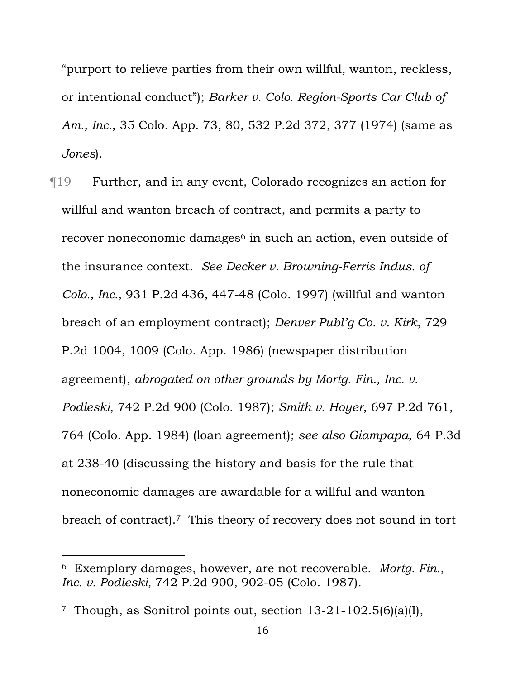"purport to relieve parties from their own willful, wanton, reckless, or intentional conduct"); *Barker v. Colo. Region-Sports Car Club of Am., Inc.*, 35 Colo. App. 73, 80, 532 P.2d 372, 377 (1974) (same as *Jones*).

¶19 Further, and in any event, Colorado recognizes an action for willful and wanton breach of contract, and permits a party to recover noneconomic damages<sup>6</sup> in such an action, even outside of the insurance context. *See Decker v. Browning-Ferris Indus. of Colo., Inc.*, 931 P.2d 436, 447-48 (Colo. 1997) (willful and wanton breach of an employment contract); *Denver Publ'g Co. v. Kirk*, 729 P.2d 1004, 1009 (Colo. App. 1986) (newspaper distribution agreement), *abrogated on other grounds by Mortg. Fin., Inc. v. Podleski*, 742 P.2d 900 (Colo. 1987); *Smith v. Hoyer*, 697 P.2d 761, 764 (Colo. App. 1984) (loan agreement); *see also Giampapa*, 64 P.3d at 238-40 (discussing the history and basis for the rule that noneconomic damages are awardable for a willful and wanton breach of contract).7 This theory of recovery does not sound in tort

<sup>6</sup> Exemplary damages, however, are not recoverable. *Mortg. Fin., Inc. v. Podleski,* 742 P.2d 900, 902-05 (Colo. 1987).

<sup>7</sup> Though, as Sonitrol points out, section 13-21-102.5(6)(a)(I),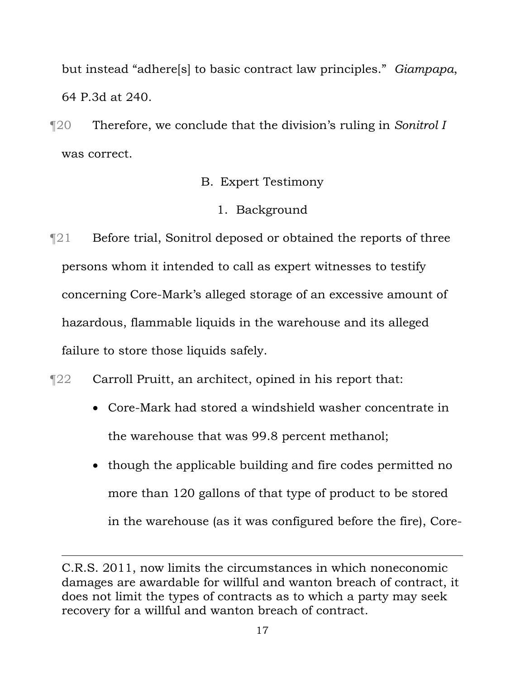but instead "adhere[s] to basic contract law principles." *Giampapa*, 64 P.3d at 240.

¶20 Therefore, we conclude that the division's ruling in *Sonitrol I* was correct.

# B. Expert Testimony

# 1. Background

 $\P$ 21 Before trial, Sonitrol deposed or obtained the reports of three persons whom it intended to call as expert witnesses to testify concerning Core-Mark's alleged storage of an excessive amount of hazardous, flammable liquids in the warehouse and its alleged failure to store those liquids safely.

# ¶22 Carroll Pruitt, an architect, opined in his report that:

- Core-Mark had stored a windshield washer concentrate in the warehouse that was 99.8 percent methanol;
- though the applicable building and fire codes permitted no more than 120 gallons of that type of product to be stored in the warehouse (as it was configured before the fire), Core-

C.R.S. 2011, now limits the circumstances in which noneconomic damages are awardable for willful and wanton breach of contract, it does not limit the types of contracts as to which a party may seek recovery for a willful and wanton breach of contract.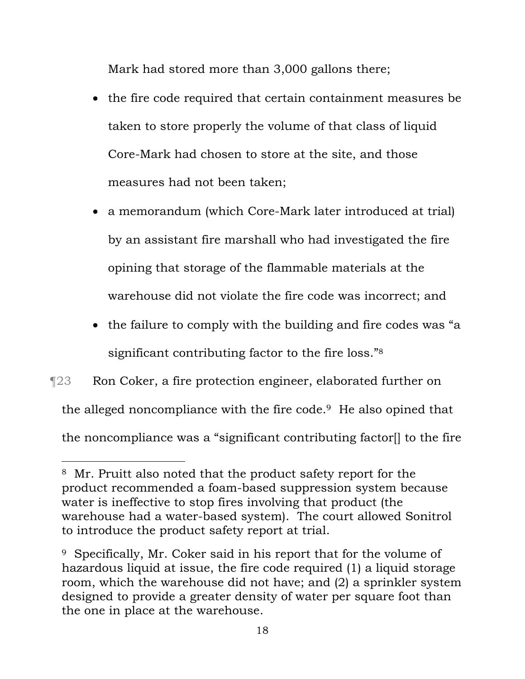Mark had stored more than 3,000 gallons there;

- the fire code required that certain containment measures be taken to store properly the volume of that class of liquid Core-Mark had chosen to store at the site, and those measures had not been taken;
- a memorandum (which Core-Mark later introduced at trial) by an assistant fire marshall who had investigated the fire opining that storage of the flammable materials at the warehouse did not violate the fire code was incorrect; and
- the failure to comply with the building and fire codes was "a significant contributing factor to the fire loss."8

# ¶23 Ron Coker, a fire protection engineer, elaborated further on the alleged noncompliance with the fire code.9 He also opined that the noncompliance was a "significant contributing factor[] to the fire

<sup>8</sup> Mr. Pruitt also noted that the product safety report for the product recommended a foam-based suppression system because water is ineffective to stop fires involving that product (the warehouse had a water-based system). The court allowed Sonitrol to introduce the product safety report at trial.

<sup>9</sup> Specifically, Mr. Coker said in his report that for the volume of hazardous liquid at issue, the fire code required (1) a liquid storage room, which the warehouse did not have; and (2) a sprinkler system designed to provide a greater density of water per square foot than the one in place at the warehouse.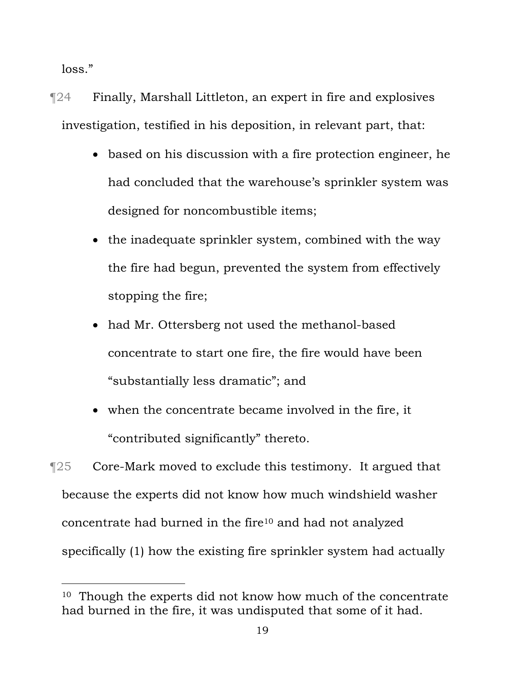loss."

i<br>Li

¶24 Finally, Marshall Littleton, an expert in fire and explosives investigation, testified in his deposition, in relevant part, that:

- based on his discussion with a fire protection engineer, he had concluded that the warehouse's sprinkler system was designed for noncombustible items;
- the inadequate sprinkler system, combined with the way the fire had begun, prevented the system from effectively stopping the fire;
- had Mr. Ottersberg not used the methanol-based concentrate to start one fire, the fire would have been "substantially less dramatic"; and
- when the concentrate became involved in the fire, it "contributed significantly" thereto.

¶25 Core-Mark moved to exclude this testimony. It argued that because the experts did not know how much windshield washer concentrate had burned in the fire10 and had not analyzed specifically (1) how the existing fire sprinkler system had actually

<sup>&</sup>lt;sup>10</sup> Though the experts did not know how much of the concentrate had burned in the fire, it was undisputed that some of it had.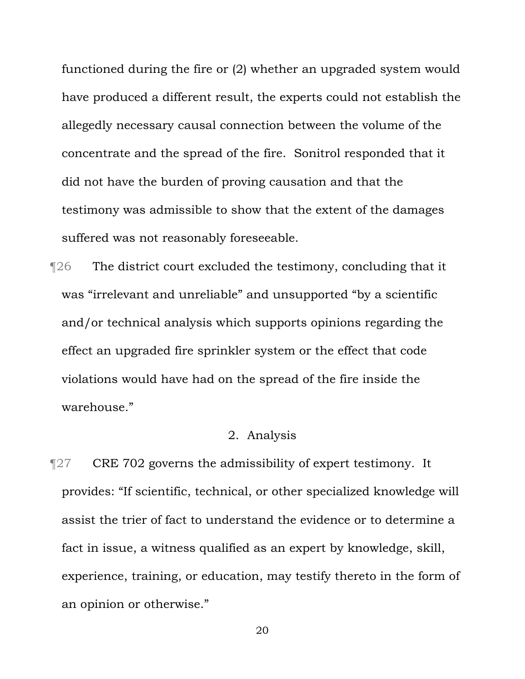functioned during the fire or (2) whether an upgraded system would have produced a different result, the experts could not establish the allegedly necessary causal connection between the volume of the concentrate and the spread of the fire. Sonitrol responded that it did not have the burden of proving causation and that the testimony was admissible to show that the extent of the damages suffered was not reasonably foreseeable.

¶26 The district court excluded the testimony, concluding that it was "irrelevant and unreliable" and unsupported "by a scientific and/or technical analysis which supports opinions regarding the effect an upgraded fire sprinkler system or the effect that code violations would have had on the spread of the fire inside the warehouse."

## 2. Analysis

**The Text** 702 governs the admissibility of expert testimony. It provides: "If scientific, technical, or other specialized knowledge will assist the trier of fact to understand the evidence or to determine a fact in issue, a witness qualified as an expert by knowledge, skill, experience, training, or education, may testify thereto in the form of an opinion or otherwise."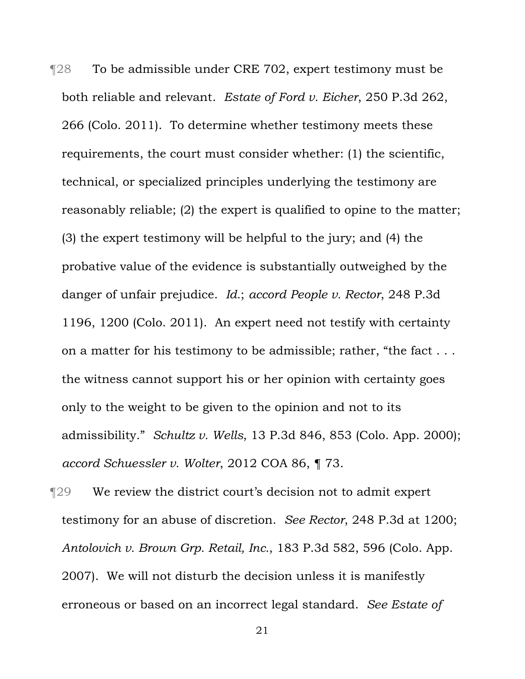¶28 To be admissible under CRE 702, expert testimony must be both reliable and relevant. *Estate of Ford v. Eicher*, 250 P.3d 262, 266 (Colo. 2011). To determine whether testimony meets these requirements, the court must consider whether: (1) the scientific, technical, or specialized principles underlying the testimony are reasonably reliable; (2) the expert is qualified to opine to the matter; (3) the expert testimony will be helpful to the jury; and (4) the probative value of the evidence is substantially outweighed by the danger of unfair prejudice. *Id.*; *accord People v. Rector*, 248 P.3d 1196, 1200 (Colo. 2011). An expert need not testify with certainty on a matter for his testimony to be admissible; rather, "the fact . . . the witness cannot support his or her opinion with certainty goes only to the weight to be given to the opinion and not to its admissibility." *Schultz v. Wells*, 13 P.3d 846, 853 (Colo. App. 2000); *accord Schuessler v. Wolter*, 2012 COA 86, ¶ 73.

¶29 We review the district court's decision not to admit expert testimony for an abuse of discretion. *See Rector*, 248 P.3d at 1200; *Antolovich v. Brown Grp. Retail, Inc.*, 183 P.3d 582, 596 (Colo. App. 2007). We will not disturb the decision unless it is manifestly erroneous or based on an incorrect legal standard. *See Estate of*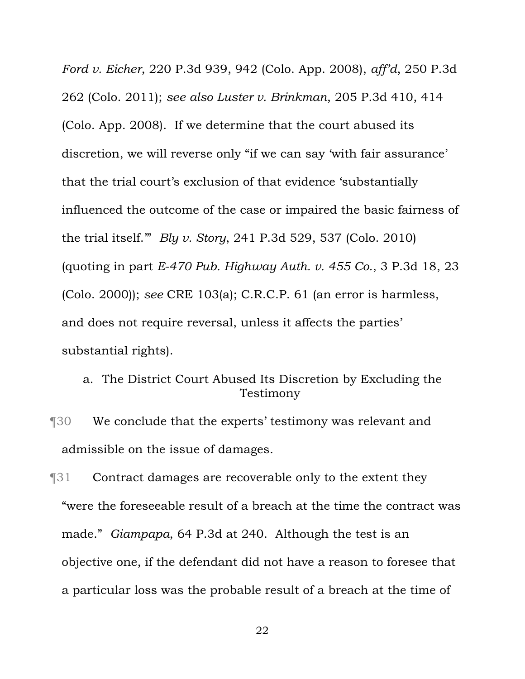*Ford v. Eicher*, 220 P.3d 939, 942 (Colo. App. 2008), *aff'd*, 250 P.3d 262 (Colo. 2011); *see also Luster v. Brinkman*, 205 P.3d 410, 414 (Colo. App. 2008). If we determine that the court abused its discretion, we will reverse only "if we can say 'with fair assurance' that the trial court's exclusion of that evidence 'substantially influenced the outcome of the case or impaired the basic fairness of the trial itself.'" *Bly v. Story*, 241 P.3d 529, 537 (Colo. 2010) (quoting in part *E-470 Pub. Highway Auth. v. 455 Co.*, 3 P.3d 18, 23 (Colo. 2000)); *see* CRE 103(a); C.R.C.P. 61 (an error is harmless, and does not require reversal, unless it affects the parties' substantial rights).

- a. The District Court Abused Its Discretion by Excluding the Testimony
- ¶30 We conclude that the experts' testimony was relevant and admissible on the issue of damages.
- ¶31 Contract damages are recoverable only to the extent they "were the foreseeable result of a breach at the time the contract was made." *Giampapa*, 64 P.3d at 240. Although the test is an objective one, if the defendant did not have a reason to foresee that a particular loss was the probable result of a breach at the time of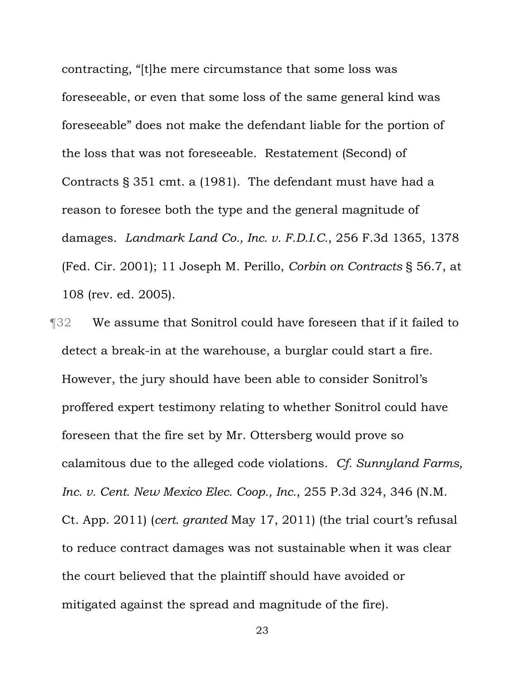contracting, "[t]he mere circumstance that some loss was foreseeable, or even that some loss of the same general kind was foreseeable" does not make the defendant liable for the portion of the loss that was not foreseeable. Restatement (Second) of Contracts § 351 cmt. a (1981). The defendant must have had a reason to foresee both the type and the general magnitude of damages. *Landmark Land Co., Inc. v. F.D.I.C.*, 256 F.3d 1365, 1378 (Fed. Cir. 2001); 11 Joseph M. Perillo, *Corbin on Contracts* § 56.7, at 108 (rev. ed. 2005).

¶32 We assume that Sonitrol could have foreseen that if it failed to detect a break-in at the warehouse, a burglar could start a fire. However, the jury should have been able to consider Sonitrol's proffered expert testimony relating to whether Sonitrol could have foreseen that the fire set by Mr. Ottersberg would prove so calamitous due to the alleged code violations. *Cf. Sunnyland Farms, Inc. v. Cent. New Mexico Elec. Coop., Inc.*, 255 P.3d 324, 346 (N.M. Ct. App. 2011) (*cert. granted* May 17, 2011) (the trial court's refusal to reduce contract damages was not sustainable when it was clear the court believed that the plaintiff should have avoided or mitigated against the spread and magnitude of the fire).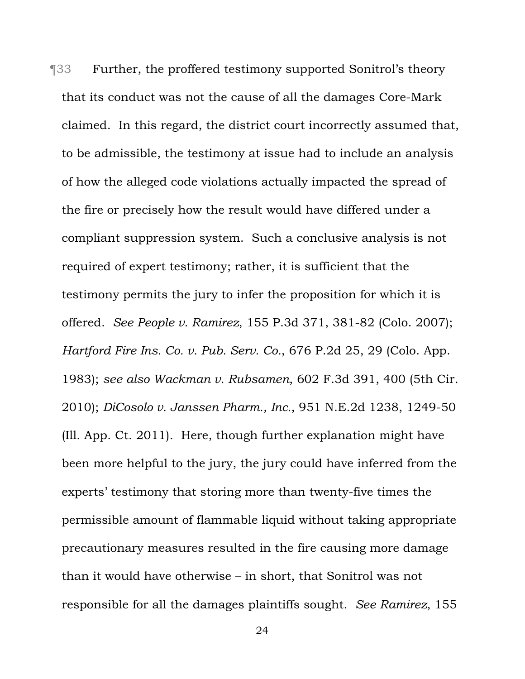¶33 Further, the proffered testimony supported Sonitrol's theory that its conduct was not the cause of all the damages Core-Mark claimed. In this regard, the district court incorrectly assumed that, to be admissible, the testimony at issue had to include an analysis of how the alleged code violations actually impacted the spread of the fire or precisely how the result would have differed under a compliant suppression system. Such a conclusive analysis is not required of expert testimony; rather, it is sufficient that the testimony permits the jury to infer the proposition for which it is offered. *See People v. Ramirez*, 155 P.3d 371, 381-82 (Colo. 2007); *Hartford Fire Ins. Co. v. Pub. Serv. Co.*, 676 P.2d 25, 29 (Colo. App. 1983); *see also Wackman v. Rubsamen*, 602 F.3d 391, 400 (5th Cir. 2010); *DiCosolo v. Janssen Pharm., Inc.*, 951 N.E.2d 1238, 1249-50 (Ill. App. Ct. 2011). Here, though further explanation might have been more helpful to the jury, the jury could have inferred from the experts' testimony that storing more than twenty-five times the permissible amount of flammable liquid without taking appropriate precautionary measures resulted in the fire causing more damage than it would have otherwise – in short, that Sonitrol was not responsible for all the damages plaintiffs sought. *See Ramirez*, 155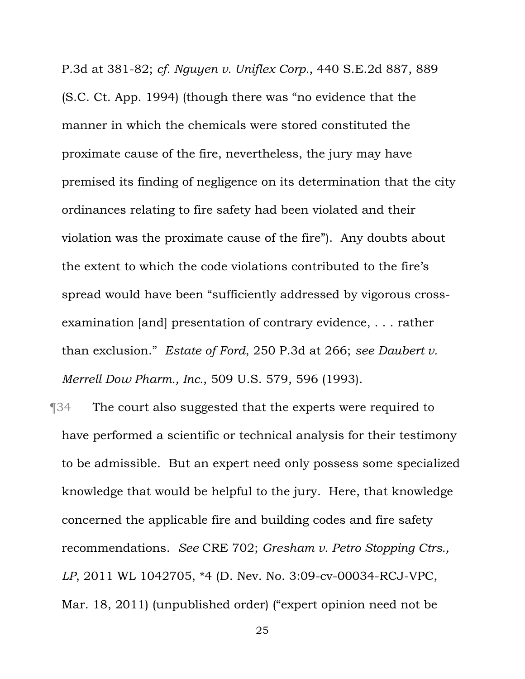P.3d at 381-82; *cf. Nguyen v. Uniflex Corp.*, 440 S.E.2d 887, 889 (S.C. Ct. App. 1994) (though there was "no evidence that the manner in which the chemicals were stored constituted the proximate cause of the fire, nevertheless, the jury may have premised its finding of negligence on its determination that the city ordinances relating to fire safety had been violated and their violation was the proximate cause of the fire"). Any doubts about the extent to which the code violations contributed to the fire's spread would have been "sufficiently addressed by vigorous crossexamination [and] presentation of contrary evidence, . . . rather than exclusion." *Estate of Ford*, 250 P.3d at 266; *see Daubert v. Merrell Dow Pharm., Inc.*, 509 U.S. 579, 596 (1993).

¶34 The court also suggested that the experts were required to have performed a scientific or technical analysis for their testimony to be admissible. But an expert need only possess some specialized knowledge that would be helpful to the jury. Here, that knowledge concerned the applicable fire and building codes and fire safety recommendations. *See* CRE 702; *Gresham v. Petro Stopping Ctrs., LP*, 2011 WL 1042705, \*4 (D. Nev. No. 3:09-cv-00034-RCJ-VPC, Mar. 18, 2011) (unpublished order) ("expert opinion need not be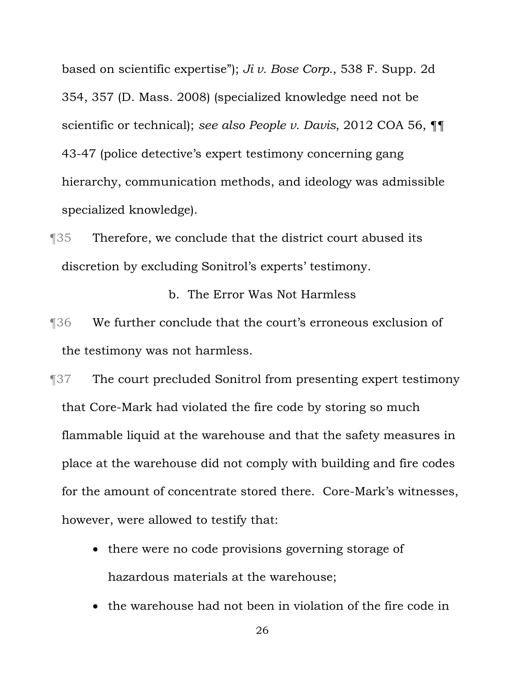based on scientific expertise"); *Ji v. Bose Corp.*, 538 F. Supp. 2d 354, 357 (D. Mass. 2008) (specialized knowledge need not be scientific or technical); *see also People v. Davis*, 2012 COA 56, ¶¶ 43-47 (police detective's expert testimony concerning gang hierarchy, communication methods, and ideology was admissible specialized knowledge).

¶35 Therefore, we conclude that the district court abused its discretion by excluding Sonitrol's experts' testimony.

b. The Error Was Not Harmless

- ¶36 We further conclude that the court's erroneous exclusion of the testimony was not harmless.
- ¶37 The court precluded Sonitrol from presenting expert testimony that Core-Mark had violated the fire code by storing so much flammable liquid at the warehouse and that the safety measures in place at the warehouse did not comply with building and fire codes for the amount of concentrate stored there. Core-Mark's witnesses, however, were allowed to testify that:
	- there were no code provisions governing storage of hazardous materials at the warehouse;
	- the warehouse had not been in violation of the fire code in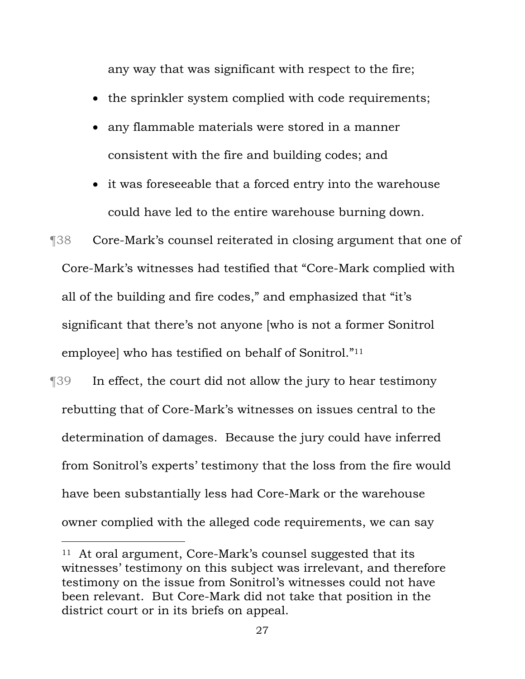any way that was significant with respect to the fire;

- the sprinkler system complied with code requirements;
- any flammable materials were stored in a manner consistent with the fire and building codes; and
- it was foreseeable that a forced entry into the warehouse could have led to the entire warehouse burning down.

¶38 Core-Mark's counsel reiterated in closing argument that one of Core-Mark's witnesses had testified that "Core-Mark complied with all of the building and fire codes," and emphasized that "it's significant that there's not anyone [who is not a former Sonitrol employee] who has testified on behalf of Sonitrol."11

¶39 In effect, the court did not allow the jury to hear testimony rebutting that of Core-Mark's witnesses on issues central to the determination of damages. Because the jury could have inferred from Sonitrol's experts' testimony that the loss from the fire would have been substantially less had Core-Mark or the warehouse owner complied with the alleged code requirements, we can say

<sup>11</sup> At oral argument, Core-Mark's counsel suggested that its witnesses' testimony on this subject was irrelevant, and therefore testimony on the issue from Sonitrol's witnesses could not have been relevant. But Core-Mark did not take that position in the district court or in its briefs on appeal.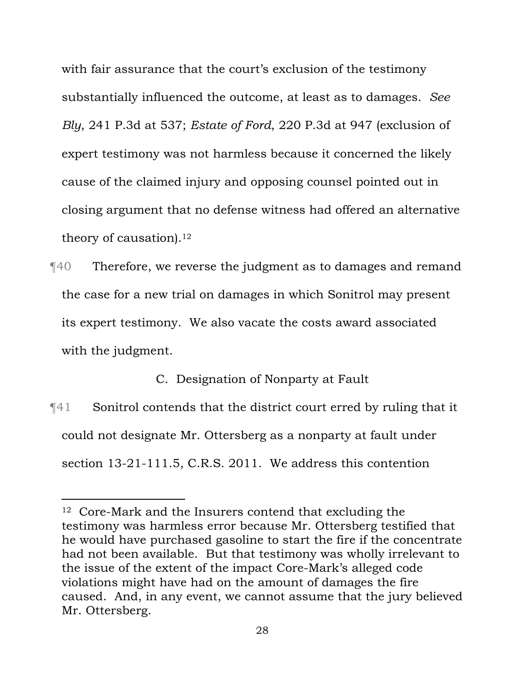with fair assurance that the court's exclusion of the testimony substantially influenced the outcome, at least as to damages. *See Bly*, 241 P.3d at 537; *Estate of Ford*, 220 P.3d at 947 (exclusion of expert testimony was not harmless because it concerned the likely cause of the claimed injury and opposing counsel pointed out in closing argument that no defense witness had offered an alternative theory of causation).<sup>12</sup>

¶40 Therefore, we reverse the judgment as to damages and remand the case for a new trial on damages in which Sonitrol may present its expert testimony. We also vacate the costs award associated with the judgment.

C. Designation of Nonparty at Fault

¶41 Sonitrol contends that the district court erred by ruling that it could not designate Mr. Ottersberg as a nonparty at fault under section 13-21-111.5, C.R.S. 2011. We address this contention

i

<sup>12</sup> Core-Mark and the Insurers contend that excluding the testimony was harmless error because Mr. Ottersberg testified that he would have purchased gasoline to start the fire if the concentrate had not been available. But that testimony was wholly irrelevant to the issue of the extent of the impact Core-Mark's alleged code violations might have had on the amount of damages the fire caused. And, in any event, we cannot assume that the jury believed Mr. Ottersberg.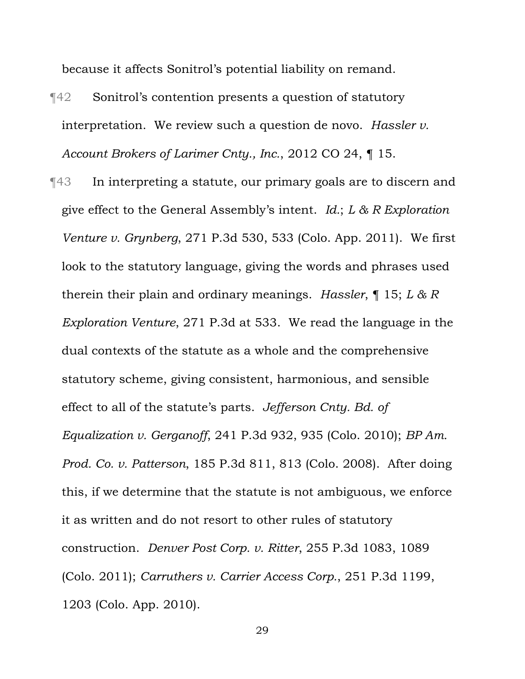because it affects Sonitrol's potential liability on remand.

- ¶42 Sonitrol's contention presents a question of statutory interpretation. We review such a question de novo. *Hassler v. Account Brokers of Larimer Cnty., Inc.*, 2012 CO 24, ¶ 15.
- ¶43 In interpreting a statute, our primary goals are to discern and give effect to the General Assembly's intent. *Id.*; *L & R Exploration Venture v. Grynberg*, 271 P.3d 530, 533 (Colo. App. 2011). We first look to the statutory language, giving the words and phrases used therein their plain and ordinary meanings. *Hassler*, ¶ 15; *L & R Exploration Venture*, 271 P.3d at 533. We read the language in the dual contexts of the statute as a whole and the comprehensive statutory scheme, giving consistent, harmonious, and sensible effect to all of the statute's parts. *Jefferson Cnty. Bd. of Equalization v. Gerganoff*, 241 P.3d 932, 935 (Colo. 2010); *BP Am. Prod. Co. v. Patterson*, 185 P.3d 811, 813 (Colo. 2008). After doing this, if we determine that the statute is not ambiguous, we enforce it as written and do not resort to other rules of statutory construction. *Denver Post Corp. v. Ritter*, 255 P.3d 1083, 1089 (Colo. 2011); *Carruthers v. Carrier Access Corp.*, 251 P.3d 1199, 1203 (Colo. App. 2010).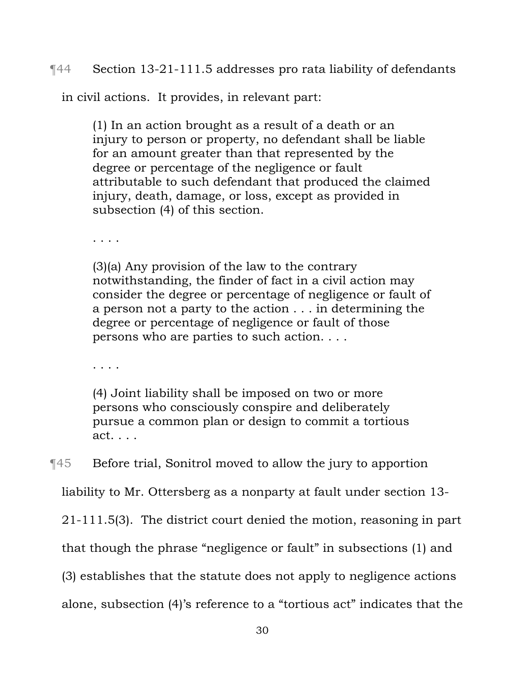# ¶44 Section 13-21-111.5 addresses pro rata liability of defendants

in civil actions. It provides, in relevant part:

(1) In an action brought as a result of a death or an injury to person or property, no defendant shall be liable for an amount greater than that represented by the degree or percentage of the negligence or fault attributable to such defendant that produced the claimed injury, death, damage, or loss, except as provided in subsection (4) of this section.

. . . .

(3)(a) Any provision of the law to the contrary notwithstanding, the finder of fact in a civil action may consider the degree or percentage of negligence or fault of a person not a party to the action . . . in determining the degree or percentage of negligence or fault of those persons who are parties to such action. . . .

. . . .

(4) Joint liability shall be imposed on two or more persons who consciously conspire and deliberately pursue a common plan or design to commit a tortious act. . . .

¶45 Before trial, Sonitrol moved to allow the jury to apportion

liability to Mr. Ottersberg as a nonparty at fault under section 13-

21-111.5(3). The district court denied the motion, reasoning in part

that though the phrase "negligence or fault" in subsections (1) and

(3) establishes that the statute does not apply to negligence actions

alone, subsection (4)'s reference to a "tortious act" indicates that the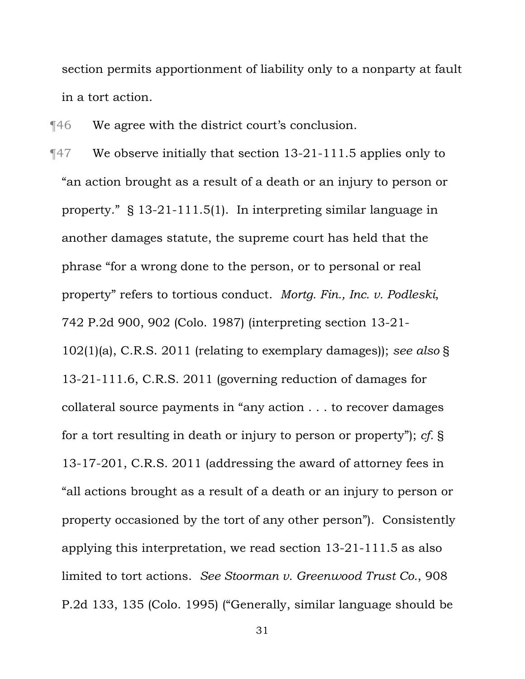section permits apportionment of liability only to a nonparty at fault in a tort action.

¶46 We agree with the district court's conclusion.

¶47 We observe initially that section 13-21-111.5 applies only to "an action brought as a result of a death or an injury to person or property." § 13-21-111.5(1). In interpreting similar language in another damages statute, the supreme court has held that the phrase "for a wrong done to the person, or to personal or real property" refers to tortious conduct. *Mortg. Fin., Inc. v. Podleski*, 742 P.2d 900, 902 (Colo. 1987) (interpreting section 13-21- 102(1)(a), C.R.S. 2011 (relating to exemplary damages)); *see also* § 13-21-111.6, C.R.S. 2011 (governing reduction of damages for collateral source payments in "any action . . . to recover damages for a tort resulting in death or injury to person or property"); *cf.* § 13-17-201, C.R.S. 2011 (addressing the award of attorney fees in "all actions brought as a result of a death or an injury to person or property occasioned by the tort of any other person"). Consistently applying this interpretation, we read section 13-21-111.5 as also limited to tort actions. *See Stoorman v. Greenwood Trust Co.*, 908 P.2d 133, 135 (Colo. 1995) ("Generally, similar language should be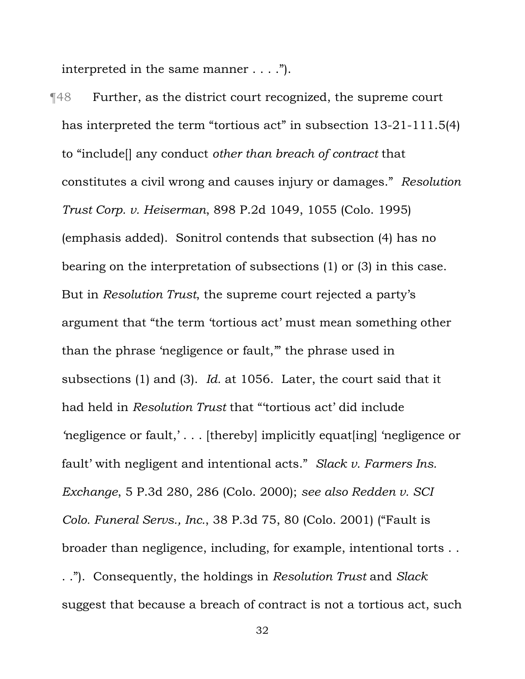interpreted in the same manner . . . .").

¶48 Further, as the district court recognized, the supreme court has interpreted the term "tortious act" in subsection 13-21-111.5(4) to "include[] any conduct *other than breach of contract* that constitutes a civil wrong and causes injury or damages." *Resolution Trust Corp. v. Heiserman*, 898 P.2d 1049, 1055 (Colo. 1995) (emphasis added). Sonitrol contends that subsection (4) has no bearing on the interpretation of subsections (1) or (3) in this case. But in *Resolution Trust*, the supreme court rejected a party's argument that "the term 'tortious act' must mean something other than the phrase 'negligence or fault,'" the phrase used in subsections (1) and (3). *Id.* at 1056. Later, the court said that it had held in *Resolution Trust* that "'tortious act' did include *'*negligence or fault,' . . . [thereby] implicitly equat[ing] 'negligence or fault' with negligent and intentional acts." *Slack v. Farmers Ins. Exchange*, 5 P.3d 280, 286 (Colo. 2000); *see also Redden v. SCI Colo. Funeral Servs., Inc.*, 38 P.3d 75, 80 (Colo. 2001) ("Fault is broader than negligence, including, for example, intentional torts . . . ."). Consequently, the holdings in *Resolution Trust* and *Slack* suggest that because a breach of contract is not a tortious act, such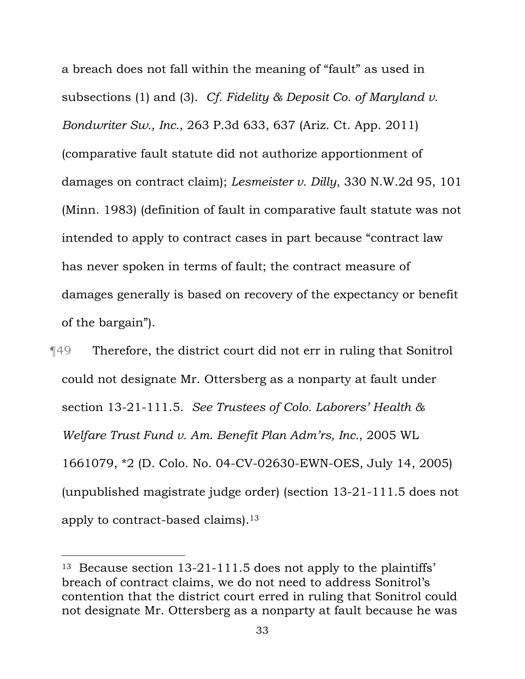a breach does not fall within the meaning of "fault" as used in subsections (1) and (3). *Cf. Fidelity & Deposit Co. of Maryland v. Bondwriter Sw., Inc.*, 263 P.3d 633, 637 (Ariz. Ct. App. 2011) (comparative fault statute did not authorize apportionment of damages on contract claim); *Lesmeister v. Dilly*, 330 N.W.2d 95, 101 (Minn. 1983) (definition of fault in comparative fault statute was not intended to apply to contract cases in part because "contract law has never spoken in terms of fault; the contract measure of damages generally is based on recovery of the expectancy or benefit of the bargain").

¶49 Therefore, the district court did not err in ruling that Sonitrol could not designate Mr. Ottersberg as a nonparty at fault under section 13-21-111.5. *See Trustees of Colo. Laborers' Health & Welfare Trust Fund v. Am. Benefit Plan Adm'rs, Inc.*, 2005 WL 1661079, \*2 (D. Colo. No. 04-CV-02630-EWN-OES, July 14, 2005) (unpublished magistrate judge order) (section 13-21-111.5 does not apply to contract-based claims).13

<sup>13</sup> Because section 13-21-111.5 does not apply to the plaintiffs' breach of contract claims, we do not need to address Sonitrol's contention that the district court erred in ruling that Sonitrol could not designate Mr. Ottersberg as a nonparty at fault because he was